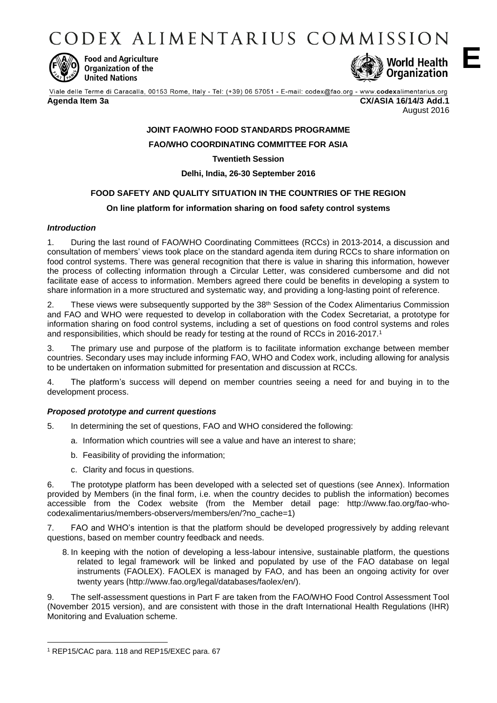CODEX ALIMENTARIUS COMMISSION



**Food and Agriculture** Organization of the **United Nations** 



**E**

Viale delle Terme di Caracalla, 00153 Rome, Italy - Tel: (+39) 06 57051 - E-mail: codex@fao.org - www.codexalimentarius.org

**Agenda Item 3a CX/ASIA 16/14/3 Add.1** August 2016

# **JOINT FAO/WHO FOOD STANDARDS PROGRAMME**

**FAO/WHO COORDINATING COMMITTEE FOR ASIA**

**Twentieth Session**

# **Delhi, India, 26-30 September 2016**

# **FOOD SAFETY AND QUALITY SITUATION IN THE COUNTRIES OF THE REGION**

# **On line platform for information sharing on food safety control systems**

# *Introduction*

1. During the last round of FAO/WHO Coordinating Committees (RCCs) in 2013-2014, a discussion and consultation of members' views took place on the standard agenda item during RCCs to share information on food control systems. There was general recognition that there is value in sharing this information, however the process of collecting information through a Circular Letter, was considered cumbersome and did not facilitate ease of access to information. Members agreed there could be benefits in developing a system to share information in a more structured and systematic way, and providing a long-lasting point of reference.

2. These views were subsequently supported by the 38<sup>th</sup> Session of the Codex Alimentarius Commission and FAO and WHO were requested to develop in collaboration with the Codex Secretariat, a prototype for information sharing on food control systems, including a set of questions on food control systems and roles and responsibilities, which should be ready for testing at the round of RCCs in 2016-2017.<sup>1</sup>

3. The primary use and purpose of the platform is to facilitate information exchange between member countries. Secondary uses may include informing FAO, WHO and Codex work, including allowing for analysis to be undertaken on information submitted for presentation and discussion at RCCs.

4. The platform's success will depend on member countries seeing a need for and buying in to the development process.

# *Proposed prototype and current questions*

- 5. In determining the set of questions, FAO and WHO considered the following:
	- a. Information which countries will see a value and have an interest to share;
	- b. Feasibility of providing the information;
	- c. Clarity and focus in questions.

6. The prototype platform has been developed with a selected set of questions (see Annex). Information provided by Members (in the final form, i.e. when the country decides to publish the information) becomes accessible from the Codex website (from the Member detail page: http://www.fao.org/fao-whocodexalimentarius/members-observers/members/en/?no\_cache=1)

7. FAO and WHO's intention is that the platform should be developed progressively by adding relevant questions, based on member country feedback and needs.

8. In keeping with the notion of developing a less-labour intensive, sustainable platform, the questions related to legal framework will be linked and populated by use of the FAO database on legal instruments (FAOLEX). FAOLEX is managed by FAO, and has been an ongoing activity for over twenty years (http://www.fao.org/legal/databases/faolex/en/).

The self-assessment questions in Part F are taken from the FAO/WHO Food Control Assessment Tool (November 2015 version), and are consistent with those in the draft International Health Regulations (IHR) Monitoring and Evaluation scheme.

 $\overline{a}$ 

<sup>1</sup> REP15/CAC para. 118 and REP15/EXEC para. 67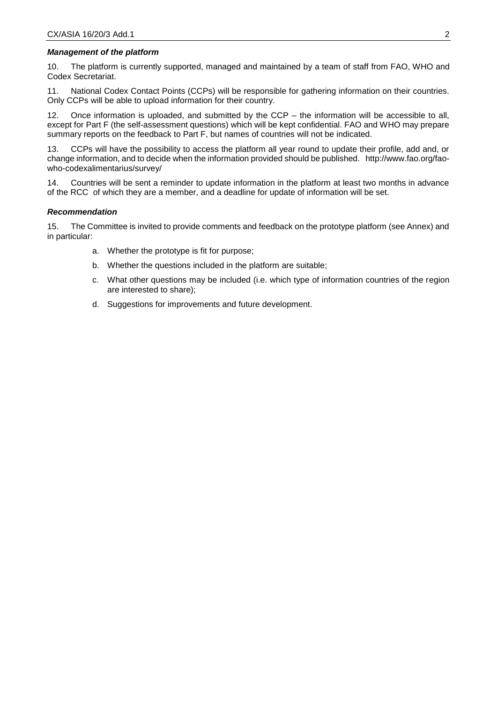#### *Management of the platform*

10. The platform is currently supported, managed and maintained by a team of staff from FAO, WHO and Codex Secretariat.

11. National Codex Contact Points (CCPs) will be responsible for gathering information on their countries. Only CCPs will be able to upload information for their country.

12. Once information is uploaded, and submitted by the CCP – the information will be accessible to all, except for Part F (the self-assessment questions) which will be kept confidential. FAO and WHO may prepare summary reports on the feedback to Part F, but names of countries will not be indicated.

13. CCPs will have the possibility to access the platform all year round to update their profile, add and, or change information, and to decide when the information provided should be published. http://www.fao.org/faowho-codexalimentarius/survey/

14. Countries will be sent a reminder to update information in the platform at least two months in advance of the RCC of which they are a member, and a deadline for update of information will be set.

#### *Recommendation*

15. The Committee is invited to provide comments and feedback on the prototype platform (see Annex) and in particular:

- a. Whether the prototype is fit for purpose;
- b. Whether the questions included in the platform are suitable;
- c. What other questions may be included (i.e. which type of information countries of the region are interested to share);
- d. Suggestions for improvements and future development.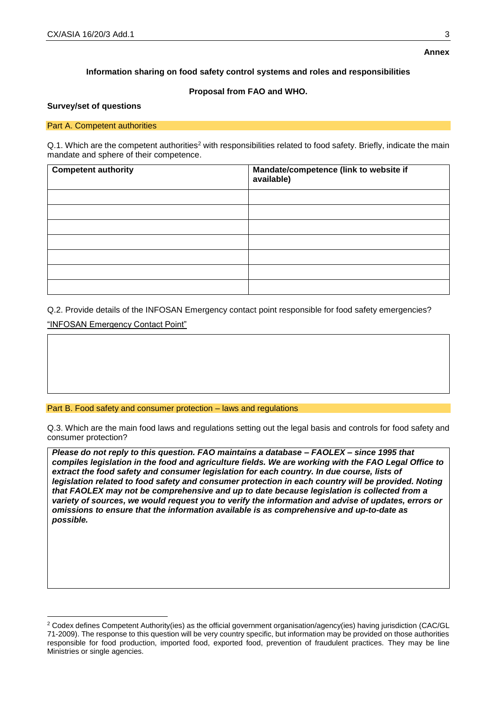### **Information sharing on food safety control systems and roles and responsibilities**

#### **Proposal from FAO and WHO.**

#### **Survey/set of questions**

#### Part A. Competent authorities

Q.1. Which are the competent authorities<sup>2</sup> with responsibilities related to food safety. Briefly, indicate the main mandate and sphere of their competence.

| <b>Competent authority</b> | Mandate/competence (link to website if<br>available) |
|----------------------------|------------------------------------------------------|
|                            |                                                      |
|                            |                                                      |
|                            |                                                      |
|                            |                                                      |
|                            |                                                      |
|                            |                                                      |
|                            |                                                      |

Q.2. Provide details of the INFOSAN Emergency contact point responsible for food safety emergencies?

### "INFOSAN Emergency Contact Point"

**.** 

#### Part B. Food safety and consumer protection – laws and regulations

Q.3. Which are the main food laws and regulations setting out the legal basis and controls for food safety and consumer protection?

*Please do not reply to this question. FAO maintains a database – FAOLEX – since 1995 that compiles legislation in the food and agriculture fields. We are working with the FAO Legal Office to*  extract the food safety and consumer legislation for each country. In due course, lists of *legislation related to food safety and consumer protection in each country will be provided. Noting that FAOLEX may not be comprehensive and up to date because legislation is collected from a variety of sources, we would request you to verify the information and advise of updates, errors or omissions to ensure that the information available is as comprehensive and up-to-date as possible.* 

<sup>&</sup>lt;sup>2</sup> Codex defines Competent Authority(ies) as the official government organisation/agency(ies) having jurisdiction (CAC/GL 71-2009). The response to this question will be very country specific, but information may be provided on those authorities responsible for food production, imported food, exported food, prevention of fraudulent practices. They may be line Ministries or single agencies.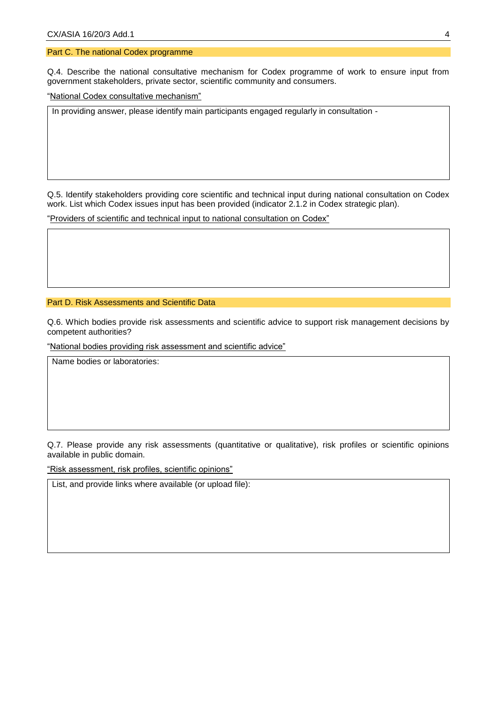#### Part C. The national Codex programme

Q.4. Describe the national consultative mechanism for Codex programme of work to ensure input from government stakeholders, private sector, scientific community and consumers.

"National Codex consultative mechanism"

In providing answer, please identify main participants engaged regularly in consultation -

Q.5. Identify stakeholders providing core scientific and technical input during national consultation on Codex work. List which Codex issues input has been provided (indicator 2.1.2 in Codex strategic plan).

"Providers of scientific and technical input to national consultation on Codex"

#### Part D. Risk Assessments and Scientific Data

Q.6. Which bodies provide risk assessments and scientific advice to support risk management decisions by competent authorities?

"National bodies providing risk assessment and scientific advice"

Name bodies or laboratories:

Q.7. Please provide any risk assessments (quantitative or qualitative), risk profiles or scientific opinions available in public domain.

"Risk assessment, risk profiles, scientific opinions"

List, and provide links where available (or upload file):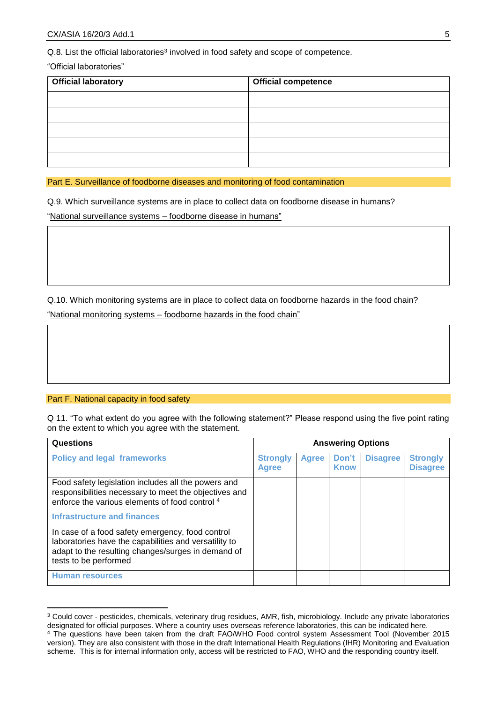Q.8. List the official laboratories<sup>3</sup> involved in food safety and scope of competence.

### "Official laboratories"

| <b>Official laboratory</b> | <b>Official competence</b> |  |  |  |
|----------------------------|----------------------------|--|--|--|
|                            |                            |  |  |  |
|                            |                            |  |  |  |
|                            |                            |  |  |  |
|                            |                            |  |  |  |
|                            |                            |  |  |  |

Part E. Surveillance of foodborne diseases and monitoring of food contamination

Q.9. Which surveillance systems are in place to collect data on foodborne disease in humans? "National surveillance systems – foodborne disease in humans"

Q.10. Which monitoring systems are in place to collect data on foodborne hazards in the food chain?

"National monitoring systems – foodborne hazards in the food chain"

# Part F. National capacity in food safety

Q 11. "To what extent do you agree with the following statement?" Please respond using the five point rating on the extent to which you agree with the statement.

| Questions                                                                                                                                                                                | <b>Answering Options</b>        |              |                      |                 |                                    |
|------------------------------------------------------------------------------------------------------------------------------------------------------------------------------------------|---------------------------------|--------------|----------------------|-----------------|------------------------------------|
| <b>Policy and legal frameworks</b>                                                                                                                                                       | <b>Strongly</b><br><b>Agree</b> | <b>Agree</b> | Don't<br><b>Know</b> | <b>Disagree</b> | <b>Strongly</b><br><b>Disagree</b> |
| Food safety legislation includes all the powers and<br>responsibilities necessary to meet the objectives and<br>enforce the various elements of food control <sup>4</sup>                |                                 |              |                      |                 |                                    |
| <b>Infrastructure and finances</b>                                                                                                                                                       |                                 |              |                      |                 |                                    |
| In case of a food safety emergency, food control<br>laboratories have the capabilities and versatility to<br>adapt to the resulting changes/surges in demand of<br>tests to be performed |                                 |              |                      |                 |                                    |
| <b>Human resources</b>                                                                                                                                                                   |                                 |              |                      |                 |                                    |

**<sup>.</sup>** <sup>3</sup> Could cover - pesticides, chemicals, veterinary drug residues, AMR, fish, microbiology. Include any private laboratories designated for official purposes. Where a country uses overseas reference laboratories, this can be indicated here.

<sup>4</sup> The questions have been taken from the draft FAO/WHO Food control system Assessment Tool (November 2015 version). They are also consistent with those in the draft International Health Regulations (IHR) Monitoring and Evaluation scheme. This is for internal information only, access will be restricted to FAO, WHO and the responding country itself.